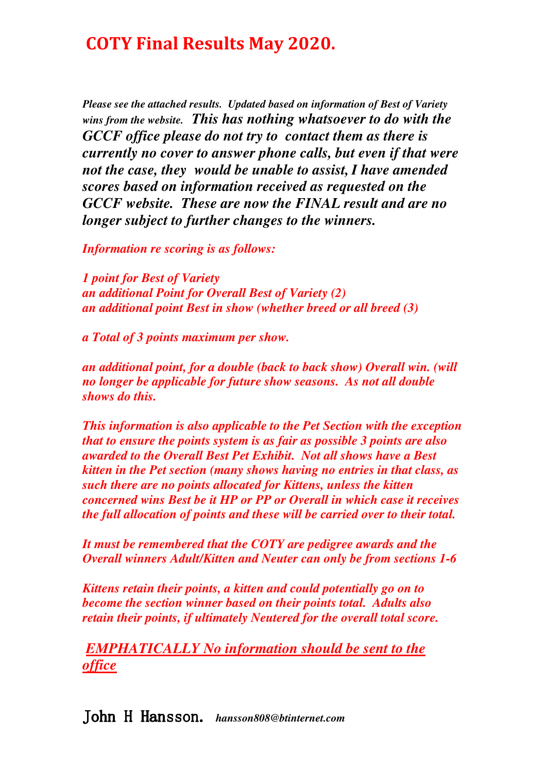*Please see the attached results. Updated based on information of Best of Variety wins from the website. This has nothing whatsoever to do with the GCCF office please do not try to contact them as there is currently no cover to answer phone calls, but even if that were not the case, they would be unable to assist,I have amended scores based on information received as requested on the GCCF website. These are now the FINAL result and are no longer subject to further changes to the winners.* 

*Information re scoring is as follows:* 

*1 point for Best of Variety an additional Point for Overall Best of Variety (2) an additional point Best in show (whether breed or all breed (3)* 

*a Total of 3 points maximum per show.* 

*an additional point, for a double (back to back show) Overall win. (will no longer be applicable for future show seasons. As not all double shows do this.* 

*This information is also applicable to the Pet Section with the exception that to ensure the points system is as fair as possible 3 points are also awarded to the Overall Best Pet Exhibit. Not all shows have a Best kitten in the Pet section (many shows having no entries in that class, as such there are no points allocated for Kittens, unless the kitten concerned wins Best be it HP or PP or Overall in which case it receives the full allocation of points and these will be carried over to their total.* 

*It must be remembered that the COTY are pedigree awards and the Overall winners Adult/Kitten and Neuter can only be from sections 1-6* 

*Kittens retain their points, a kitten and could potentially go on to become the section winner based on their points total. Adults also retain their points, if ultimately Neutered for the overall total score.* 

*EMPHATICALLY No information should be sent to the office*

John H Hansson. H Hansson. *hansson808@btinternet.com*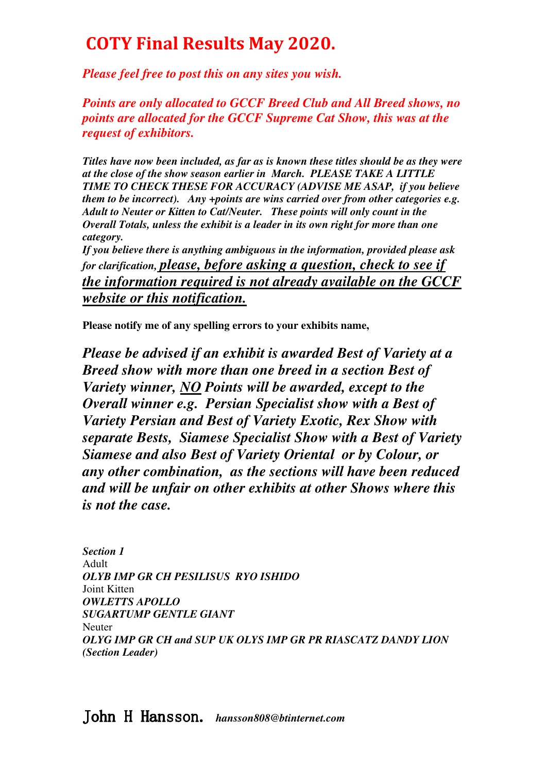*Please feel free to post this on any sites you wish.* 

*Points are only allocated to GCCF Breed Club and All Breed shows, no points are allocated for the GCCF Supreme Cat Show, this was at the request of exhibitors.* 

*Titles have now been included, as far as is known these titles should be as they were at the close of the show season earlier in March. PLEASE TAKE A LITTLE TIME TO CHECK THESE FOR ACCURACY (ADVISE ME ASAP, if you believe them to be incorrect). Any +points are wins carried over from other categories e.g. Adult to Neuter or Kitten to Cat/Neuter. These points will only count in the Overall Totals, unless the exhibit is a leader in its own right for more than one category.* 

*If you believe there is anything ambiguous in the information, provided please ask for clarification, please, before asking a question, check to see if the information required is not already available on the GCCF website or this notification.* 

**Please notify me of any spelling errors to your exhibits name,** 

*Please be advised if an exhibit is awarded Best of Variety at a Breed show with more than one breed in a section Best of Variety winner, NO Points will be awarded, except to the Overall winner e.g. Persian Specialist show with a Best of Variety Persian and Best of Variety Exotic, Rex Show with separate Bests, Siamese Specialist Show with a Best of Variety Siamese and also Best of Variety Oriental or by Colour, or any other combination, as the sections will have been reduced and will be unfair on other exhibits at other Shows where this is not the case.* 

*Section 1*  Adult *OLYB IMP GR CH PESILISUS RYO ISHIDO*  Joint Kitten *OWLETTS APOLLO SUGARTUMP GENTLE GIANT*  Neuter *OLYG IMP GR CH and SUP UK OLYS IMP GR PR RIASCATZ DANDY LION (Section Leader)*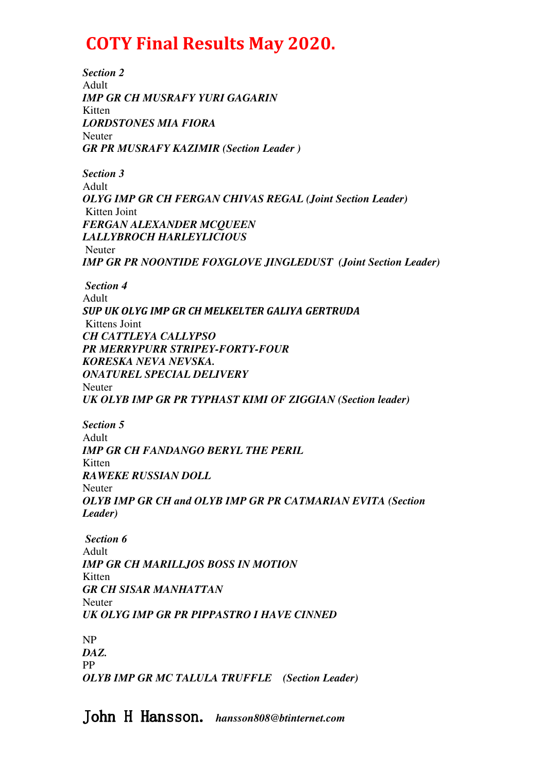*Section 2*  Adult *IMP GR CH MUSRAFY YURI GAGARIN*  Kitten *LORDSTONES MIA FIORA*  Neuter *GR PR MUSRAFY KAZIMIR (Section Leader ) Section 3*  Adult *OLYG IMP GR CH FERGAN CHIVAS REGAL (Joint Section Leader)* Kitten Joint *FERGAN ALEXANDER MCQUEEN LALLYBROCH HARLEYLICIOUS*  Neuter *IMP GR PR NOONTIDE FOXGLOVE JINGLEDUST (Joint Section Leader) Section 4*  Adult *SUP UK OLYG IMP GR CH MELKELTER GALIYA GERTRUDA*  Kittens Joint *CH CATTLEYA CALLYPSO PR MERRYPURR STRIPEY-FORTY-FOUR KORESKA NEVA NEVSKA. ONATUREL SPECIAL DELIVERY*  Neuter *UK OLYB IMP GR PR TYPHAST KIMI OF ZIGGIAN (Section leader) Section 5*  Adult *IMP GR CH FANDANGO BERYL THE PERIL*  Kitten *RAWEKE RUSSIAN DOLL*  Neuter *OLYB IMP GR CH and OLYB IMP GR PR CATMARIAN EVITA (Section Leader) Section 6*  Adult *IMP GR CH MARILLJOS BOSS IN MOTION*  Kitten *GR CH SISAR MANHATTAN*  Neuter *UK OLYG IMP GR PR PIPPASTRO I HAVE CINNED*  NP *DAZ.*  PP *OLYB IMP GR MC TALULA TRUFFLE (Section Leader)*

John H Hansson. *hansson808@btinternet.com*